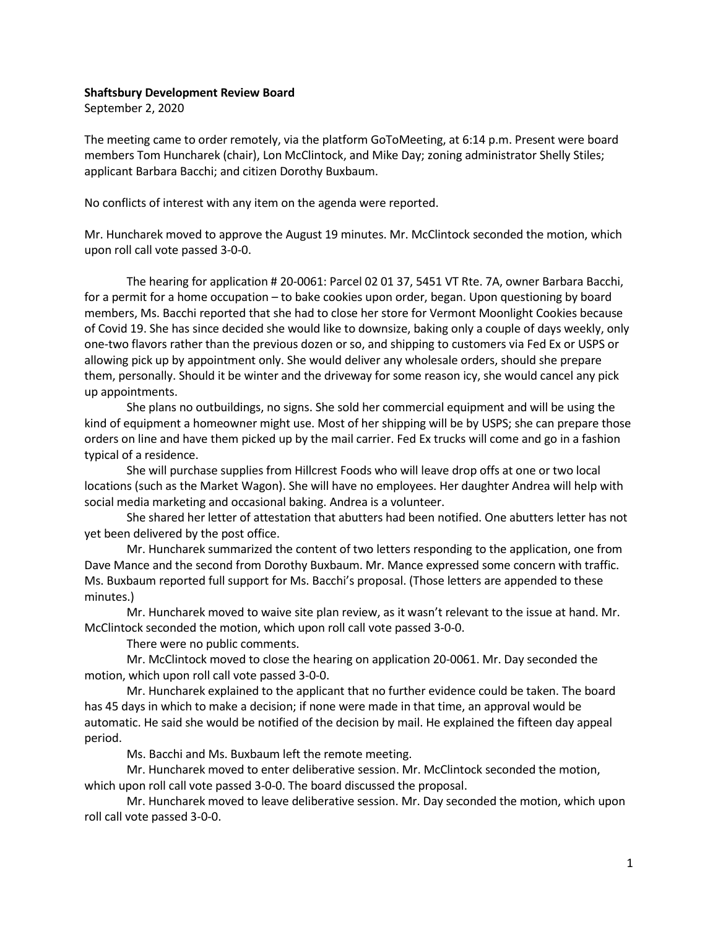## Shaftsbury Development Review Board

September 2, 2020

The meeting came to order remotely, via the platform GoToMeeting, at 6:14 p.m. Present were board members Tom Huncharek (chair), Lon McClintock, and Mike Day; zoning administrator Shelly Stiles; applicant Barbara Bacchi; and citizen Dorothy Buxbaum.

No conflicts of interest with any item on the agenda were reported.

Mr. Huncharek moved to approve the August 19 minutes. Mr. McClintock seconded the motion, which upon roll call vote passed 3-0-0.

The hearing for application # 20-0061: Parcel 02 01 37, 5451 VT Rte. 7A, owner Barbara Bacchi, for a permit for a home occupation – to bake cookies upon order, began. Upon questioning by board members, Ms. Bacchi reported that she had to close her store for Vermont Moonlight Cookies because of Covid 19. She has since decided she would like to downsize, baking only a couple of days weekly, only one-two flavors rather than the previous dozen or so, and shipping to customers via Fed Ex or USPS or allowing pick up by appointment only. She would deliver any wholesale orders, should she prepare them, personally. Should it be winter and the driveway for some reason icy, she would cancel any pick up appointments.

She plans no outbuildings, no signs. She sold her commercial equipment and will be using the kind of equipment a homeowner might use. Most of her shipping will be by USPS; she can prepare those orders on line and have them picked up by the mail carrier. Fed Ex trucks will come and go in a fashion typical of a residence.

She will purchase supplies from Hillcrest Foods who will leave drop offs at one or two local locations (such as the Market Wagon). She will have no employees. Her daughter Andrea will help with social media marketing and occasional baking. Andrea is a volunteer.

She shared her letter of attestation that abutters had been notified. One abutters letter has not yet been delivered by the post office.

Mr. Huncharek summarized the content of two letters responding to the application, one from Dave Mance and the second from Dorothy Buxbaum. Mr. Mance expressed some concern with traffic. Ms. Buxbaum reported full support for Ms. Bacchi's proposal. (Those letters are appended to these minutes.)

Mr. Huncharek moved to waive site plan review, as it wasn't relevant to the issue at hand. Mr. McClintock seconded the motion, which upon roll call vote passed 3-0-0.

There were no public comments.

Mr. McClintock moved to close the hearing on application 20-0061. Mr. Day seconded the motion, which upon roll call vote passed 3-0-0.

Mr. Huncharek explained to the applicant that no further evidence could be taken. The board has 45 days in which to make a decision; if none were made in that time, an approval would be automatic. He said she would be notified of the decision by mail. He explained the fifteen day appeal period.

Ms. Bacchi and Ms. Buxbaum left the remote meeting.

Mr. Huncharek moved to enter deliberative session. Mr. McClintock seconded the motion, which upon roll call vote passed 3-0-0. The board discussed the proposal.

Mr. Huncharek moved to leave deliberative session. Mr. Day seconded the motion, which upon roll call vote passed 3-0-0.